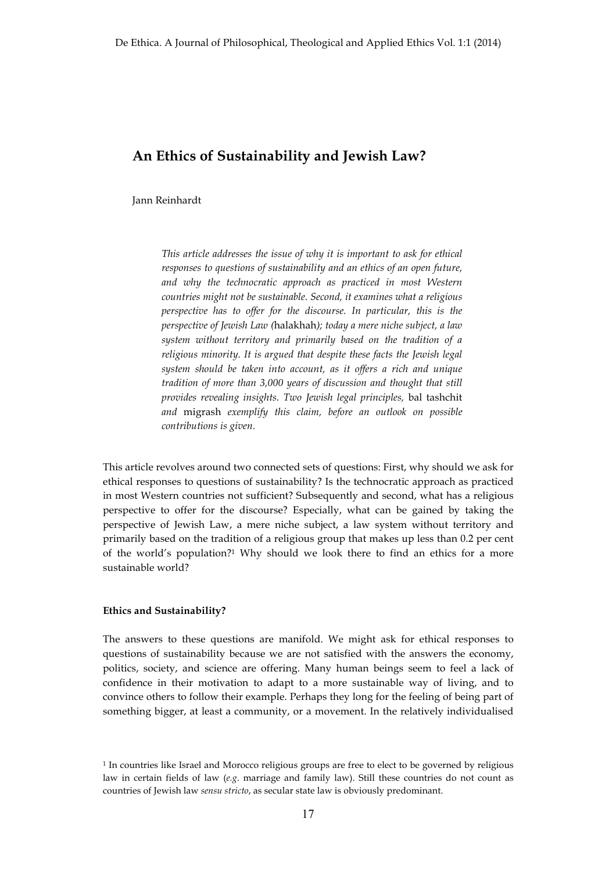# **An Ethics of Sustainability and Jewish Law?**

Jann Reinhardt

*This article addresses the issue of why it is important to ask for ethical responses to questions of sustainability and an ethics of an open future,*  and why the technocratic approach as practiced in most Western *countries might not be sustainable. Second, it examines what a religious perspective has to offer for the discourse. In particular, this is the perspective of Jewish Law (*halakhah*); today a mere niche subject, a law system without territory and primarily based on the tradition of a religious minority. It is argued that despite these facts the Jewish legal system should be taken into account, as it offers a rich and unique tradition of more than 3,000 years of discussion and thought that still provides revealing insights. Two Jewish legal principles,* bal tashchit *and* migrash *exemplify this claim, before an outlook on possible contributions is given.*

This article revolves around two connected sets of questions: First, why should we ask for ethical responses to questions of sustainability? Is the technocratic approach as practiced in most Western countries not sufficient? Subsequently and second, what has a religious perspective to offer for the discourse? Especially, what can be gained by taking the perspective of Jewish Law, a mere niche subject, a law system without territory and primarily based on the tradition of a religious group that makes up less than 0.2 per cent of the world's population?1 Why should we look there to find an ethics for a more sustainable world?

#### **Ethics and Sustainability?**

The answers to these questions are manifold. We might ask for ethical responses to questions of sustainability because we are not satisfied with the answers the economy, politics, society, and science are offering. Many human beings seem to feel a lack of confidence in their motivation to adapt to a more sustainable way of living, and to convince others to follow their example. Perhaps they long for the feeling of being part of something bigger, at least a community, or a movement. In the relatively individualised

<sup>1</sup> In countries like Israel and Morocco religious groups are free to elect to be governed by religious law in certain fields of law (*e.g*. marriage and family law). Still these countries do not count as countries of Jewish law *sensu stricto*, as secular state law is obviously predominant.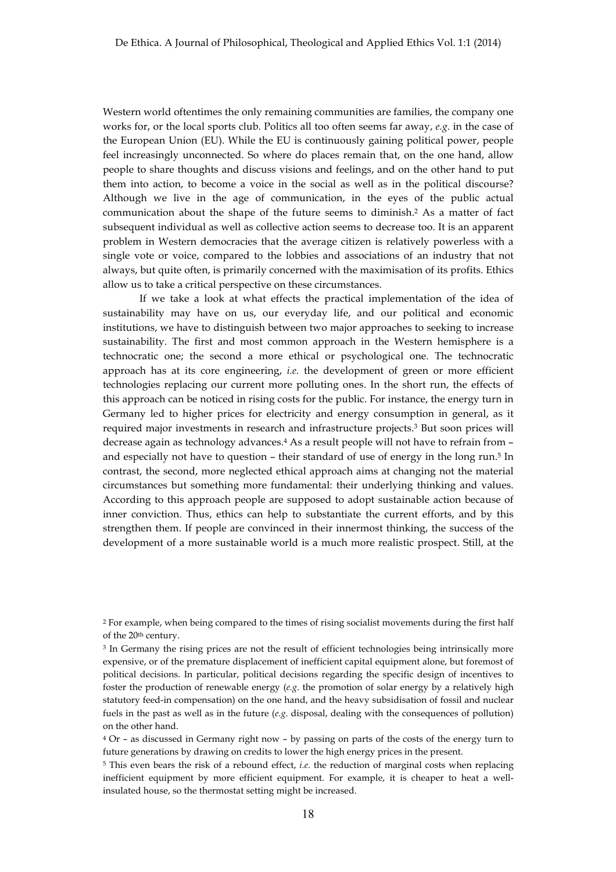Western world oftentimes the only remaining communities are families, the company one works for, or the local sports club. Politics all too often seems far away, *e.g*. in the case of the European Union (EU). While the EU is continuously gaining political power, people feel increasingly unconnected. So where do places remain that, on the one hand, allow people to share thoughts and discuss visions and feelings, and on the other hand to put them into action, to become a voice in the social as well as in the political discourse? Although we live in the age of communication, in the eyes of the public actual communication about the shape of the future seems to diminish.2 As a matter of fact subsequent individual as well as collective action seems to decrease too. It is an apparent problem in Western democracies that the average citizen is relatively powerless with a single vote or voice, compared to the lobbies and associations of an industry that not always, but quite often, is primarily concerned with the maximisation of its profits. Ethics allow us to take a critical perspective on these circumstances.

If we take a look at what effects the practical implementation of the idea of sustainability may have on us, our everyday life, and our political and economic institutions, we have to distinguish between two major approaches to seeking to increase sustainability. The first and most common approach in the Western hemisphere is a technocratic one; the second a more ethical or psychological one. The technocratic approach has at its core engineering, *i.e.* the development of green or more efficient technologies replacing our current more polluting ones. In the short run, the effects of this approach can be noticed in rising costs for the public. For instance, the energy turn in Germany led to higher prices for electricity and energy consumption in general, as it required major investments in research and infrastructure projects.3 But soon prices will decrease again as technology advances.4 As a result people will not have to refrain from – and especially not have to question – their standard of use of energy in the long run.5 In contrast, the second, more neglected ethical approach aims at changing not the material circumstances but something more fundamental: their underlying thinking and values. According to this approach people are supposed to adopt sustainable action because of inner conviction. Thus, ethics can help to substantiate the current efforts, and by this strengthen them. If people are convinced in their innermost thinking, the success of the development of a more sustainable world is a much more realistic prospect. Still, at the

<sup>&</sup>lt;sup>2</sup> For example, when being compared to the times of rising socialist movements during the first half of the 20th century.

<sup>&</sup>lt;sup>3</sup> In Germany the rising prices are not the result of efficient technologies being intrinsically more expensive, or of the premature displacement of inefficient capital equipment alone, but foremost of political decisions. In particular, political decisions regarding the specific design of incentives to foster the production of renewable energy (*e.g*. the promotion of solar energy by a relatively high statutory feed-in compensation) on the one hand, and the heavy subsidisation of fossil and nuclear fuels in the past as well as in the future (*e.g*. disposal, dealing with the consequences of pollution) on the other hand.

<sup>4</sup> Or – as discussed in Germany right now – by passing on parts of the costs of the energy turn to future generations by drawing on credits to lower the high energy prices in the present.

<sup>5</sup> This even bears the risk of a rebound effect, *i.e*. the reduction of marginal costs when replacing inefficient equipment by more efficient equipment. For example, it is cheaper to heat a wellinsulated house, so the thermostat setting might be increased.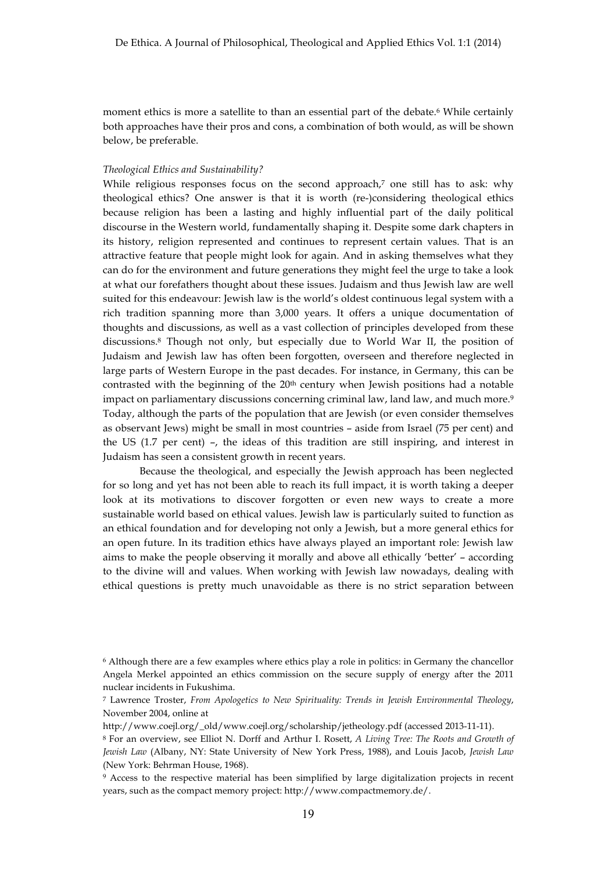moment ethics is more a satellite to than an essential part of the debate.<sup>6</sup> While certainly both approaches have their pros and cons, a combination of both would, as will be shown below, be preferable.

#### *Theological Ethics and Sustainability?*

While religious responses focus on the second approach,<sup>7</sup> one still has to ask: why theological ethics? One answer is that it is worth (re-)considering theological ethics because religion has been a lasting and highly influential part of the daily political discourse in the Western world, fundamentally shaping it. Despite some dark chapters in its history, religion represented and continues to represent certain values. That is an attractive feature that people might look for again. And in asking themselves what they can do for the environment and future generations they might feel the urge to take a look at what our forefathers thought about these issues. Judaism and thus Jewish law are well suited for this endeavour: Jewish law is the world's oldest continuous legal system with a rich tradition spanning more than 3,000 years. It offers a unique documentation of thoughts and discussions, as well as a vast collection of principles developed from these discussions.8 Though not only, but especially due to World War II, the position of Judaism and Jewish law has often been forgotten, overseen and therefore neglected in large parts of Western Europe in the past decades. For instance, in Germany, this can be contrasted with the beginning of the  $20<sup>th</sup>$  century when Jewish positions had a notable impact on parliamentary discussions concerning criminal law, land law, and much more.<sup>9</sup> Today, although the parts of the population that are Jewish (or even consider themselves as observant Jews) might be small in most countries – aside from Israel (75 per cent) and the US (1.7 per cent) –, the ideas of this tradition are still inspiring, and interest in Judaism has seen a consistent growth in recent years.

Because the theological, and especially the Jewish approach has been neglected for so long and yet has not been able to reach its full impact, it is worth taking a deeper look at its motivations to discover forgotten or even new ways to create a more sustainable world based on ethical values. Jewish law is particularly suited to function as an ethical foundation and for developing not only a Jewish, but a more general ethics for an open future. In its tradition ethics have always played an important role: Jewish law aims to make the people observing it morally and above all ethically 'better' – according to the divine will and values. When working with Jewish law nowadays, dealing with ethical questions is pretty much unavoidable as there is no strict separation between

<sup>6</sup> Although there are a few examples where ethics play a role in politics: in Germany the chancellor Angela Merkel appointed an ethics commission on the secure supply of energy after the 2011 nuclear incidents in Fukushima.

<sup>7</sup> Lawrence Troster, *From Apologetics to New Spirituality: Trends in Jewish Environmental Theology*, November 2004, online at

http://www.coejl.org/\_old/www.coejl.org/scholarship/jetheology.pdf (accessed 2013-11-11).

<sup>8</sup> For an overview, see Elliot N. Dorff and Arthur I. Rosett, *A Living Tree: The Roots and Growth of Jewish Law* (Albany, NY: State University of New York Press, 1988), and Louis Jacob, *Jewish Law*  (New York: Behrman House, 1968).

<sup>9</sup> Access to the respective material has been simplified by large digitalization projects in recent years, such as the compact memory project: http://www.compactmemory.de/.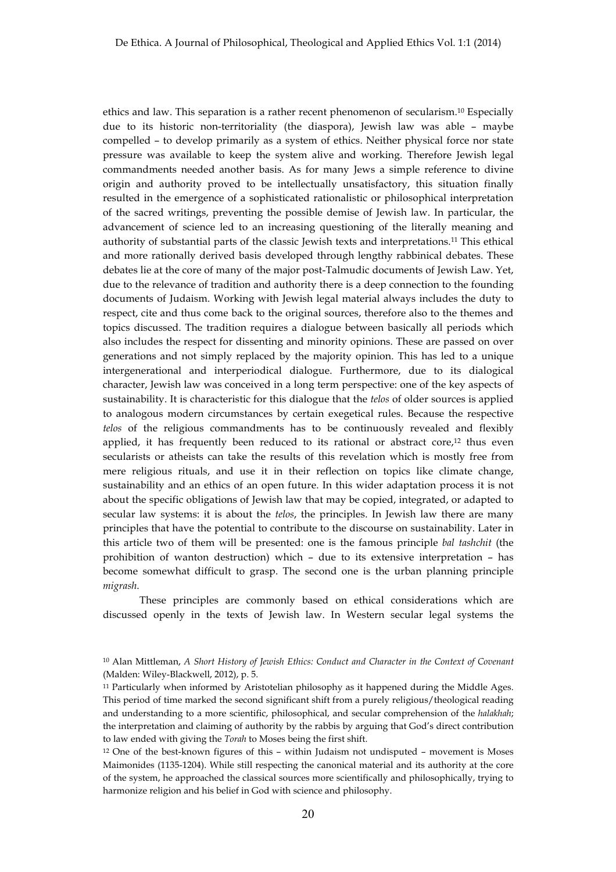ethics and law. This separation is a rather recent phenomenon of secularism.10 Especially due to its historic non-territoriality (the diaspora), Jewish law was able – maybe compelled – to develop primarily as a system of ethics. Neither physical force nor state pressure was available to keep the system alive and working. Therefore Jewish legal commandments needed another basis. As for many Jews a simple reference to divine origin and authority proved to be intellectually unsatisfactory, this situation finally resulted in the emergence of a sophisticated rationalistic or philosophical interpretation of the sacred writings, preventing the possible demise of Jewish law. In particular, the advancement of science led to an increasing questioning of the literally meaning and authority of substantial parts of the classic Jewish texts and interpretations.11 This ethical and more rationally derived basis developed through lengthy rabbinical debates. These debates lie at the core of many of the major post-Talmudic documents of Jewish Law. Yet, due to the relevance of tradition and authority there is a deep connection to the founding documents of Judaism. Working with Jewish legal material always includes the duty to respect, cite and thus come back to the original sources, therefore also to the themes and topics discussed. The tradition requires a dialogue between basically all periods which also includes the respect for dissenting and minority opinions. These are passed on over generations and not simply replaced by the majority opinion. This has led to a unique intergenerational and interperiodical dialogue. Furthermore, due to its dialogical character, Jewish law was conceived in a long term perspective: one of the key aspects of sustainability. It is characteristic for this dialogue that the *telos* of older sources is applied to analogous modern circumstances by certain exegetical rules. Because the respective *telos* of the religious commandments has to be continuously revealed and flexibly applied, it has frequently been reduced to its rational or abstract core, $12$  thus even secularists or atheists can take the results of this revelation which is mostly free from mere religious rituals, and use it in their reflection on topics like climate change, sustainability and an ethics of an open future. In this wider adaptation process it is not about the specific obligations of Jewish law that may be copied, integrated, or adapted to secular law systems: it is about the *telos*, the principles. In Jewish law there are many principles that have the potential to contribute to the discourse on sustainability. Later in this article two of them will be presented: one is the famous principle *bal tashchit* (the prohibition of wanton destruction) which – due to its extensive interpretation – has become somewhat difficult to grasp. The second one is the urban planning principle *migrash*.

These principles are commonly based on ethical considerations which are discussed openly in the texts of Jewish law. In Western secular legal systems the

<sup>10</sup> Alan Mittleman, *A Short History of Jewish Ethics: Conduct and Character in the Context of Covenant* (Malden: Wiley-Blackwell, 2012), p. 5.

<sup>11</sup> Particularly when informed by Aristotelian philosophy as it happened during the Middle Ages. This period of time marked the second significant shift from a purely religious/theological reading and understanding to a more scientific, philosophical, and secular comprehension of the *halakhah*; the interpretation and claiming of authority by the rabbis by arguing that God's direct contribution to law ended with giving the *Torah* to Moses being the first shift.

<sup>12</sup> One of the best-known figures of this – within Judaism not undisputed – movement is Moses Maimonides (1135-1204). While still respecting the canonical material and its authority at the core of the system, he approached the classical sources more scientifically and philosophically, trying to harmonize religion and his belief in God with science and philosophy.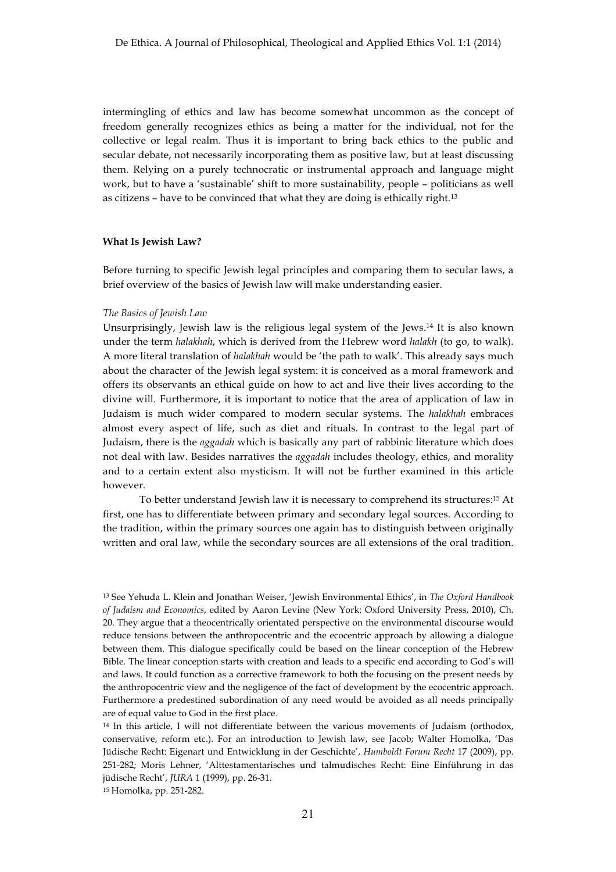intermingling of ethics and law has become somewhat uncommon as the concept of freedom generally recognizes ethics as being a matter for the individual, not for the collective or legal realm. Thus it is important to bring back ethics to the public and secular debate, not necessarily incorporating them as positive law, but at least discussing them. Relying on a purely technocratic or instrumental approach and language might work, but to have a 'sustainable' shift to more sustainability, people – politicians as well as citizens – have to be convinced that what they are doing is ethically right.13

#### **What Is Jewish Law?**

Before turning to specific Jewish legal principles and comparing them to secular laws, a brief overview of the basics of Jewish law will make understanding easier.

#### *The Basics of Jewish Law*

Unsurprisingly, Jewish law is the religious legal system of the Jews.14 It is also known under the term *halakhah*, which is derived from the Hebrew word *halakh* (to go, to walk). A more literal translation of *halakhah* would be 'the path to walk'. This already says much about the character of the Jewish legal system: it is conceived as a moral framework and offers its observants an ethical guide on how to act and live their lives according to the divine will. Furthermore, it is important to notice that the area of application of law in Judaism is much wider compared to modern secular systems. The *halakhah* embraces almost every aspect of life, such as diet and rituals. In contrast to the legal part of Judaism, there is the *aggadah* which is basically any part of rabbinic literature which does not deal with law. Besides narratives the *aggadah* includes theology, ethics, and morality and to a certain extent also mysticism. It will not be further examined in this article however.

To better understand Jewish law it is necessary to comprehend its structures:15 At first, one has to differentiate between primary and secondary legal sources. According to the tradition, within the primary sources one again has to distinguish between originally written and oral law, while the secondary sources are all extensions of the oral tradition.

<sup>15</sup> Homolka, pp. 251-282.

<sup>13</sup> See Yehuda L. Klein and Jonathan Weiser, 'Jewish Environmental Ethics', in *The Oxford Handbook of Judaism and Economics*, edited by Aaron Levine (New York: Oxford University Press, 2010), Ch. 20. They argue that a theocentrically orientated perspective on the environmental discourse would reduce tensions between the anthropocentric and the ecocentric approach by allowing a dialogue between them. This dialogue specifically could be based on the linear conception of the Hebrew Bible. The linear conception starts with creation and leads to a specific end according to God's will and laws. It could function as a corrective framework to both the focusing on the present needs by the anthropocentric view and the negligence of the fact of development by the ecocentric approach. Furthermore a predestined subordination of any need would be avoided as all needs principally are of equal value to God in the first place.

<sup>&</sup>lt;sup>14</sup> In this article, I will not differentiate between the various movements of Judaism (orthodox, conservative, reform etc.). For an introduction to Jewish law, see Jacob; Walter Homolka, 'Das Jüdische Recht: Eigenart und Entwicklung in der Geschichte', *Humboldt Forum Recht* 17 (2009), pp. 251-282; Moris Lehner, 'Alttestamentarisches und talmudisches Recht: Eine Einführung in das jüdische Recht', *JURA* 1 (1999), pp. 26-31.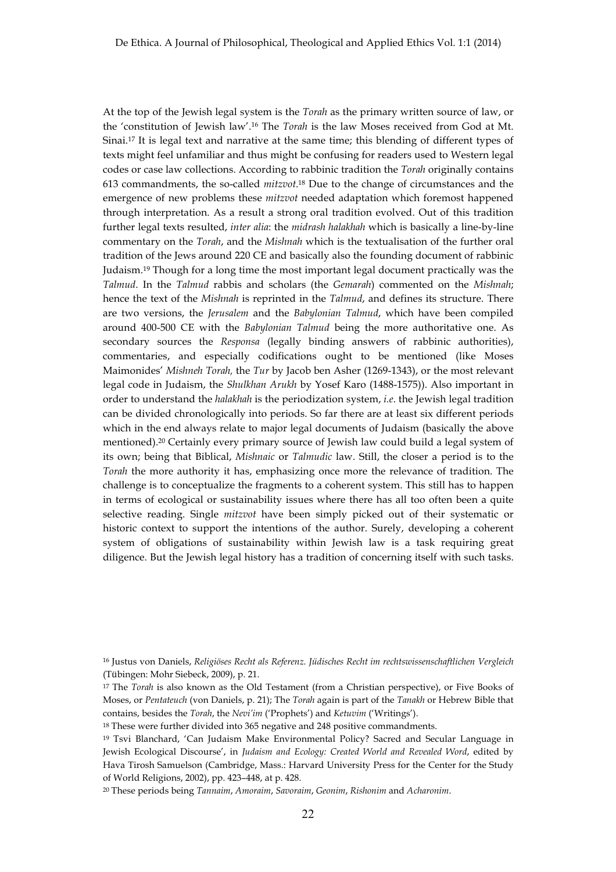At the top of the Jewish legal system is the *Torah* as the primary written source of law, or the 'constitution of Jewish law'.16 The *Torah* is the law Moses received from God at Mt. Sinai.17 It is legal text and narrative at the same time; this blending of different types of texts might feel unfamiliar and thus might be confusing for readers used to Western legal codes or case law collections. According to rabbinic tradition the *Torah* originally contains 613 commandments, the so-called *mitzvot*.18 Due to the change of circumstances and the emergence of new problems these *mitzvot* needed adaptation which foremost happened through interpretation. As a result a strong oral tradition evolved. Out of this tradition further legal texts resulted, *inter alia*: the *midrash halakhah* which is basically a line-by-line commentary on the *Torah*, and the *Mishnah* which is the textualisation of the further oral tradition of the Jews around 220 CE and basically also the founding document of rabbinic Judaism.19 Though for a long time the most important legal document practically was the *Talmud*. In the *Talmud* rabbis and scholars (the *Gemarah*) commented on the *Mishnah*; hence the text of the *Mishnah* is reprinted in the *Talmud*, and defines its structure. There are two versions, the *Jerusalem* and the *Babylonian Talmud*, which have been compiled around 400-500 CE with the *Babylonian Talmud* being the more authoritative one. As secondary sources the *Responsa* (legally binding answers of rabbinic authorities), commentaries, and especially codifications ought to be mentioned (like Moses Maimonides' *Mishneh Torah,* the *Tur* by Jacob ben Asher (1269-1343), or the most relevant legal code in Judaism, the *Shulkhan Arukh* by Yosef Karo (1488-1575)). Also important in order to understand the *halakhah* is the periodization system, *i.e*. the Jewish legal tradition can be divided chronologically into periods. So far there are at least six different periods which in the end always relate to major legal documents of Judaism (basically the above mentioned).20 Certainly every primary source of Jewish law could build a legal system of its own; being that Biblical, *Mishnaic* or *Talmudic* law. Still, the closer a period is to the *Torah* the more authority it has, emphasizing once more the relevance of tradition. The challenge is to conceptualize the fragments to a coherent system. This still has to happen in terms of ecological or sustainability issues where there has all too often been a quite selective reading. Single *mitzvot* have been simply picked out of their systematic or historic context to support the intentions of the author. Surely, developing a coherent system of obligations of sustainability within Jewish law is a task requiring great diligence. But the Jewish legal history has a tradition of concerning itself with such tasks.

<sup>18</sup> These were further divided into 365 negative and 248 positive commandments.

<sup>16</sup> Justus von Daniels, *Religiöses Recht als Referenz. Jüdisches Recht im rechtswissenschaftlichen Vergleich* (Tübingen: Mohr Siebeck, 2009), p. 21.

<sup>17</sup> The *Torah* is also known as the Old Testament (from a Christian perspective), or Five Books of Moses, or *Pentateuch* (von Daniels, p. 21); The *Torah* again is part of the *Tanakh* or Hebrew Bible that contains, besides the *Torah*, the *Nevi'im* ('Prophets') and *Ketuvim* ('Writings').

<sup>19</sup> Tsvi Blanchard, 'Can Judaism Make Environmental Policy? Sacred and Secular Language in Jewish Ecological Discourse', in *Judaism and Ecology: Created World and Revealed Word*, edited by Hava Tirosh Samuelson (Cambridge, Mass.: Harvard University Press for the Center for the Study of World Religions, 2002), pp. 423–448, at p. 428.

<sup>20</sup> These periods being *Tannaim*, *Amoraim*, *Savoraim*, *Geonim*, *Rishonim* and *Acharonim*.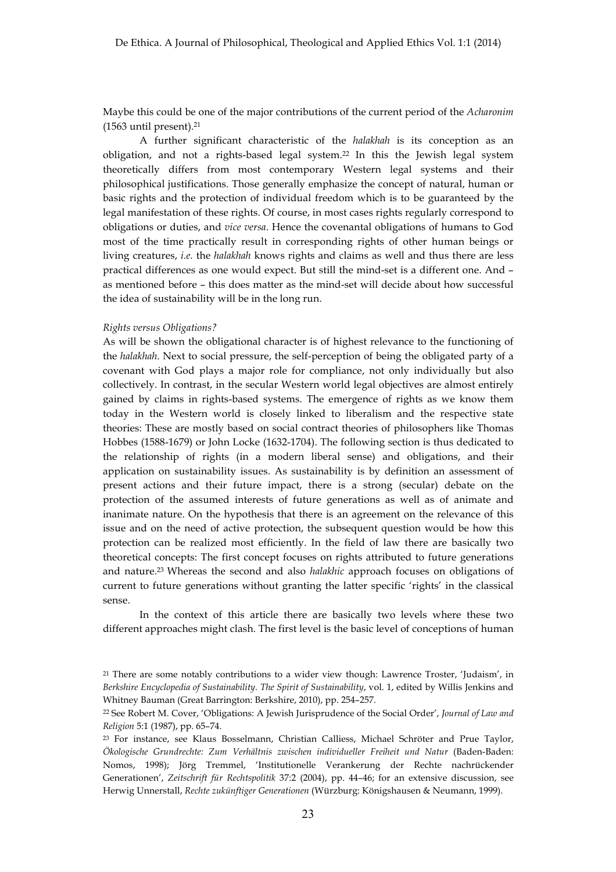Maybe this could be one of the major contributions of the current period of the *Acharonim* (1563 until present).21

A further significant characteristic of the *halakhah* is its conception as an obligation, and not a rights-based legal system.22 In this the Jewish legal system theoretically differs from most contemporary Western legal systems and their philosophical justifications. Those generally emphasize the concept of natural, human or basic rights and the protection of individual freedom which is to be guaranteed by the legal manifestation of these rights. Of course, in most cases rights regularly correspond to obligations or duties, and *vice versa*. Hence the covenantal obligations of humans to God most of the time practically result in corresponding rights of other human beings or living creatures, *i.e.* the *halakhah* knows rights and claims as well and thus there are less practical differences as one would expect. But still the mind-set is a different one. And – as mentioned before – this does matter as the mind-set will decide about how successful the idea of sustainability will be in the long run.

## *Rights versus Obligations?*

As will be shown the obligational character is of highest relevance to the functioning of the *halakhah*. Next to social pressure, the self-perception of being the obligated party of a covenant with God plays a major role for compliance, not only individually but also collectively. In contrast, in the secular Western world legal objectives are almost entirely gained by claims in rights-based systems. The emergence of rights as we know them today in the Western world is closely linked to liberalism and the respective state theories: These are mostly based on social contract theories of philosophers like Thomas Hobbes (1588-1679) or John Locke (1632-1704). The following section is thus dedicated to the relationship of rights (in a modern liberal sense) and obligations, and their application on sustainability issues. As sustainability is by definition an assessment of present actions and their future impact, there is a strong (secular) debate on the protection of the assumed interests of future generations as well as of animate and inanimate nature. On the hypothesis that there is an agreement on the relevance of this issue and on the need of active protection, the subsequent question would be how this protection can be realized most efficiently. In the field of law there are basically two theoretical concepts: The first concept focuses on rights attributed to future generations and nature.23 Whereas the second and also *halakhic* approach focuses on obligations of current to future generations without granting the latter specific 'rights' in the classical sense.

In the context of this article there are basically two levels where these two different approaches might clash. The first level is the basic level of conceptions of human

<sup>21</sup> There are some notably contributions to a wider view though: Lawrence Troster, 'Judaism', in *Berkshire Encyclopedia of Sustainability. The Spirit of Sustainability*, vol. 1, edited by Willis Jenkins and Whitney Bauman (Great Barrington: Berkshire, 2010), pp. 254–257.

<sup>22</sup> See Robert M. Cover, 'Obligations: A Jewish Jurisprudence of the Social Order', *Journal of Law and Religion* 5:1 (1987), pp. 65–74.

<sup>23</sup> For instance, see Klaus Bosselmann, Christian Calliess, Michael Schröter and Prue Taylor, *Ökologische Grundrechte: Zum Verhältnis zwischen individueller Freiheit und Natur* (Baden-Baden: Nomos, 1998); Jörg Tremmel, 'Institutionelle Verankerung der Rechte nachrückender Generationen', *Zeitschrift für Rechtspolitik* 37:2 (2004), pp. 44–46; for an extensive discussion, see Herwig Unnerstall, *Rechte zukünftiger Generationen* (Würzburg: Königshausen & Neumann, 1999).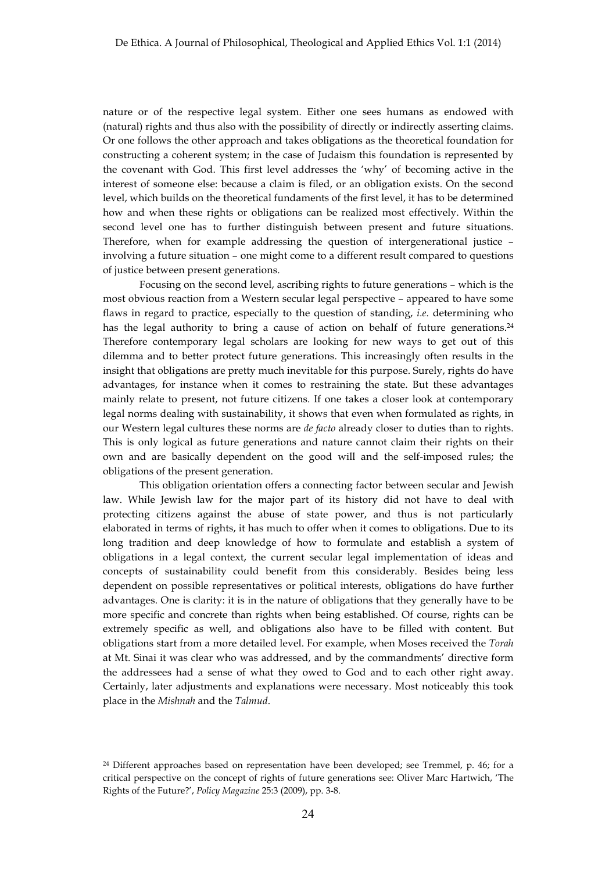nature or of the respective legal system. Either one sees humans as endowed with (natural) rights and thus also with the possibility of directly or indirectly asserting claims. Or one follows the other approach and takes obligations as the theoretical foundation for constructing a coherent system; in the case of Judaism this foundation is represented by the covenant with God. This first level addresses the 'why' of becoming active in the interest of someone else: because a claim is filed, or an obligation exists. On the second level, which builds on the theoretical fundaments of the first level, it has to be determined how and when these rights or obligations can be realized most effectively. Within the second level one has to further distinguish between present and future situations. Therefore, when for example addressing the question of intergenerational justice – involving a future situation – one might come to a different result compared to questions of justice between present generations.

Focusing on the second level, ascribing rights to future generations – which is the most obvious reaction from a Western secular legal perspective – appeared to have some flaws in regard to practice, especially to the question of standing, *i.e*. determining who has the legal authority to bring a cause of action on behalf of future generations.<sup>24</sup> Therefore contemporary legal scholars are looking for new ways to get out of this dilemma and to better protect future generations. This increasingly often results in the insight that obligations are pretty much inevitable for this purpose. Surely, rights do have advantages, for instance when it comes to restraining the state. But these advantages mainly relate to present, not future citizens. If one takes a closer look at contemporary legal norms dealing with sustainability, it shows that even when formulated as rights, in our Western legal cultures these norms are *de facto* already closer to duties than to rights. This is only logical as future generations and nature cannot claim their rights on their own and are basically dependent on the good will and the self-imposed rules; the obligations of the present generation.

This obligation orientation offers a connecting factor between secular and Jewish law. While Jewish law for the major part of its history did not have to deal with protecting citizens against the abuse of state power, and thus is not particularly elaborated in terms of rights, it has much to offer when it comes to obligations. Due to its long tradition and deep knowledge of how to formulate and establish a system of obligations in a legal context, the current secular legal implementation of ideas and concepts of sustainability could benefit from this considerably. Besides being less dependent on possible representatives or political interests, obligations do have further advantages. One is clarity: it is in the nature of obligations that they generally have to be more specific and concrete than rights when being established. Of course, rights can be extremely specific as well, and obligations also have to be filled with content. But obligations start from a more detailed level. For example, when Moses received the *Torah* at Mt. Sinai it was clear who was addressed, and by the commandments' directive form the addressees had a sense of what they owed to God and to each other right away. Certainly, later adjustments and explanations were necessary. Most noticeably this took place in the *Mishnah* and the *Talmud*.

<sup>24</sup> Different approaches based on representation have been developed; see Tremmel, p. 46; for a critical perspective on the concept of rights of future generations see: Oliver Marc Hartwich, 'The Rights of the Future?', *Policy Magazine* 25:3 (2009), pp. 3-8.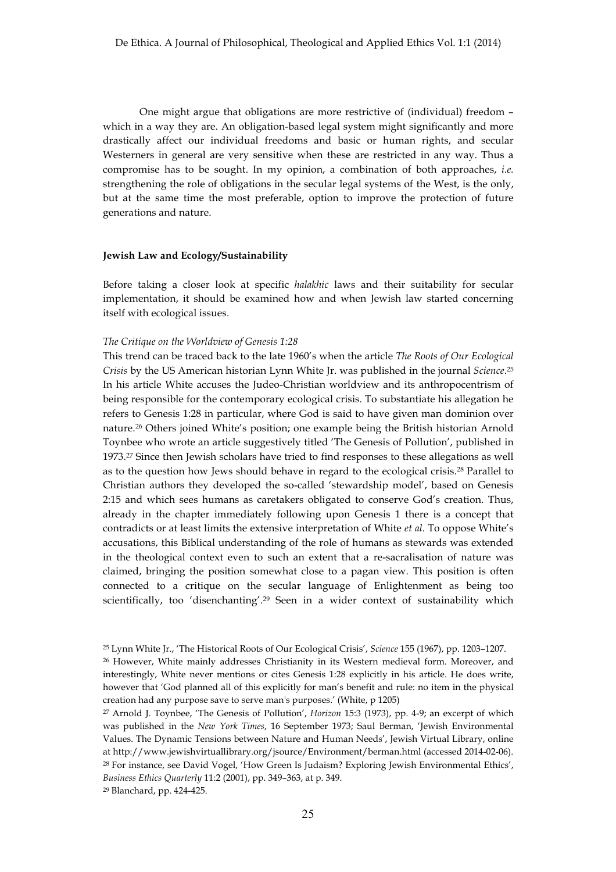One might argue that obligations are more restrictive of (individual) freedom – which in a way they are. An obligation-based legal system might significantly and more drastically affect our individual freedoms and basic or human rights, and secular Westerners in general are very sensitive when these are restricted in any way. Thus a compromise has to be sought. In my opinion, a combination of both approaches, *i.e.* strengthening the role of obligations in the secular legal systems of the West, is the only, but at the same time the most preferable, option to improve the protection of future generations and nature.

# **Jewish Law and Ecology/Sustainability**

Before taking a closer look at specific *halakhic* laws and their suitability for secular implementation, it should be examined how and when Jewish law started concerning itself with ecological issues.

#### *The Critique on the Worldview of Genesis 1:28*

This trend can be traced back to the late 1960's when the article *The Roots of Our Ecological Crisis* by the US American historian Lynn White Jr. was published in the journal *Science*.25 In his article White accuses the Judeo-Christian worldview and its anthropocentrism of being responsible for the contemporary ecological crisis. To substantiate his allegation he refers to Genesis 1:28 in particular, where God is said to have given man dominion over nature.26 Others joined White's position; one example being the British historian Arnold Toynbee who wrote an article suggestively titled 'The Genesis of Pollution', published in 1973.27 Since then Jewish scholars have tried to find responses to these allegations as well as to the question how Jews should behave in regard to the ecological crisis.28 Parallel to Christian authors they developed the so-called 'stewardship model', based on Genesis 2:15 and which sees humans as caretakers obligated to conserve God's creation. Thus, already in the chapter immediately following upon Genesis 1 there is a concept that contradicts or at least limits the extensive interpretation of White *et al*. To oppose White's accusations, this Biblical understanding of the role of humans as stewards was extended in the theological context even to such an extent that a re-sacralisation of nature was claimed, bringing the position somewhat close to a pagan view. This position is often connected to a critique on the secular language of Enlightenment as being too scientifically, too 'disenchanting'.29 Seen in a wider context of sustainability which

<sup>29</sup> Blanchard, pp. 424-425.

<sup>25</sup> Lynn White Jr., 'The Historical Roots of Our Ecological Crisis', *Science* 155 (1967), pp. 1203–1207. <sup>26</sup> However, White mainly addresses Christianity in its Western medieval form. Moreover, and interestingly, White never mentions or cites Genesis 1:28 explicitly in his article. He does write, however that 'God planned all of this explicitly for man's benefit and rule: no item in the physical creation had any purpose save to serve man's purposes.' (White, p 1205)

<sup>27</sup> Arnold J. Toynbee, 'The Genesis of Pollution', *Horizon* 15:3 (1973), pp. 4-9; an excerpt of which was published in the *New York Times*, 16 September 1973; Saul Berman, 'Jewish Environmental Values. The Dynamic Tensions between Nature and Human Needs', Jewish Virtual Library, online at http://www.jewishvirtuallibrary.org/jsource/Environment/berman.html (accessed 2014-02-06). <sup>28</sup> For instance, see David Vogel, 'How Green Is Judaism? Exploring Jewish Environmental Ethics', *Business Ethics Quarterly* 11:2 (2001), pp. 349–363, at p. 349.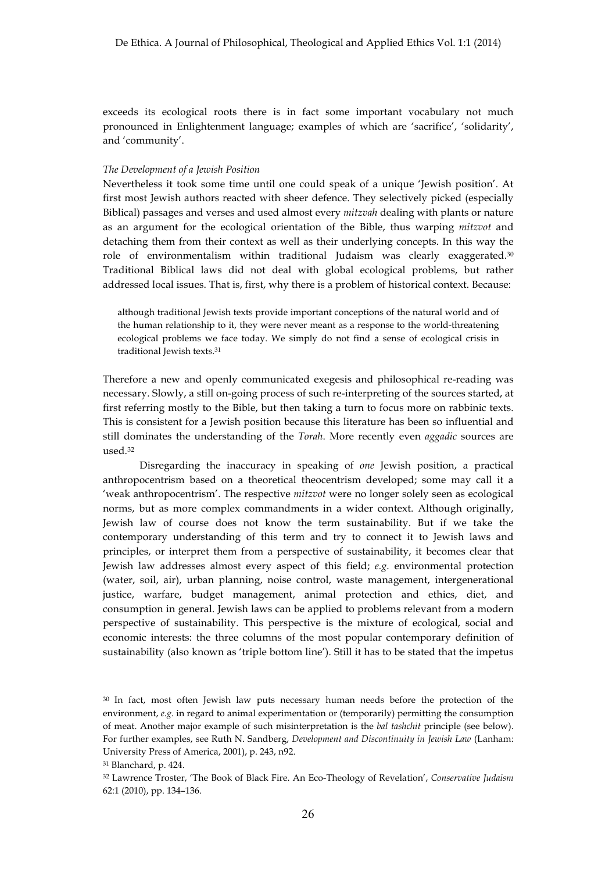exceeds its ecological roots there is in fact some important vocabulary not much pronounced in Enlightenment language; examples of which are 'sacrifice', 'solidarity', and 'community'.

## *The Development of a Jewish Position*

Nevertheless it took some time until one could speak of a unique 'Jewish position'. At first most Jewish authors reacted with sheer defence. They selectively picked (especially Biblical) passages and verses and used almost every *mitzvah* dealing with plants or nature as an argument for the ecological orientation of the Bible, thus warping *mitzvot* and detaching them from their context as well as their underlying concepts. In this way the role of environmentalism within traditional Judaism was clearly exaggerated.30 Traditional Biblical laws did not deal with global ecological problems, but rather addressed local issues. That is, first, why there is a problem of historical context. Because:

although traditional Jewish texts provide important conceptions of the natural world and of the human relationship to it, they were never meant as a response to the world-threatening ecological problems we face today. We simply do not find a sense of ecological crisis in traditional Jewish texts.31

Therefore a new and openly communicated exegesis and philosophical re-reading was necessary. Slowly, a still on-going process of such re-interpreting of the sources started, at first referring mostly to the Bible, but then taking a turn to focus more on rabbinic texts. This is consistent for a Jewish position because this literature has been so influential and still dominates the understanding of the *Torah*. More recently even *aggadic* sources are used.32

Disregarding the inaccuracy in speaking of *one* Jewish position, a practical anthropocentrism based on a theoretical theocentrism developed; some may call it a 'weak anthropocentrism'. The respective *mitzvot* were no longer solely seen as ecological norms, but as more complex commandments in a wider context. Although originally, Jewish law of course does not know the term sustainability. But if we take the contemporary understanding of this term and try to connect it to Jewish laws and principles, or interpret them from a perspective of sustainability, it becomes clear that Jewish law addresses almost every aspect of this field; *e.g*. environmental protection (water, soil, air), urban planning, noise control, waste management, intergenerational justice, warfare, budget management, animal protection and ethics, diet, and consumption in general. Jewish laws can be applied to problems relevant from a modern perspective of sustainability. This perspective is the mixture of ecological, social and economic interests: the three columns of the most popular contemporary definition of sustainability (also known as 'triple bottom line'). Still it has to be stated that the impetus

<sup>30</sup> In fact, most often Jewish law puts necessary human needs before the protection of the environment, *e.g*. in regard to animal experimentation or (temporarily) permitting the consumption of meat. Another major example of such misinterpretation is the *bal tashchit* principle (see below). For further examples, see Ruth N. Sandberg, *Development and Discontinuity in Jewish Law* (Lanham: University Press of America, 2001), p. 243, n92.

<sup>31</sup> Blanchard, p. 424.

<sup>32</sup> Lawrence Troster, 'The Book of Black Fire. An Eco-Theology of Revelation', *Conservative Judaism* 62:1 (2010), pp. 134–136.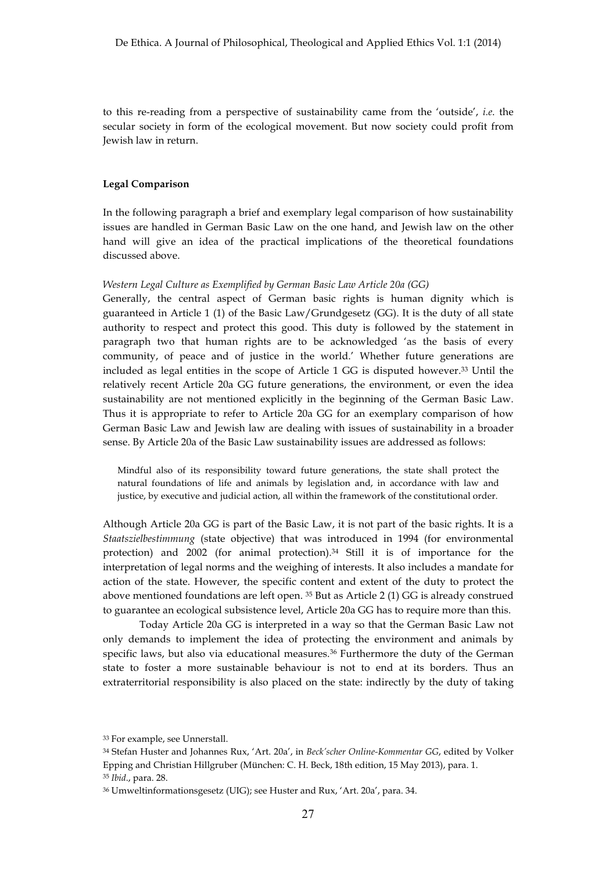to this re-reading from a perspective of sustainability came from the 'outside', *i.e*. the secular society in form of the ecological movement. But now society could profit from Jewish law in return.

## **Legal Comparison**

In the following paragraph a brief and exemplary legal comparison of how sustainability issues are handled in German Basic Law on the one hand, and Jewish law on the other hand will give an idea of the practical implications of the theoretical foundations discussed above.

#### *Western Legal Culture as Exemplified by German Basic Law Article 20a (GG)*

Generally, the central aspect of German basic rights is human dignity which is guaranteed in Article 1 (1) of the Basic Law/Grundgesetz (GG). It is the duty of all state authority to respect and protect this good. This duty is followed by the statement in paragraph two that human rights are to be acknowledged 'as the basis of every community, of peace and of justice in the world.' Whether future generations are included as legal entities in the scope of Article 1 GG is disputed however.33 Until the relatively recent Article 20a GG future generations, the environment, or even the idea sustainability are not mentioned explicitly in the beginning of the German Basic Law. Thus it is appropriate to refer to Article 20a GG for an exemplary comparison of how German Basic Law and Jewish law are dealing with issues of sustainability in a broader sense. By Article 20a of the Basic Law sustainability issues are addressed as follows:

Mindful also of its responsibility toward future generations, the state shall protect the natural foundations of life and animals by legislation and, in accordance with law and justice, by executive and judicial action, all within the framework of the constitutional order.

Although Article 20a GG is part of the Basic Law, it is not part of the basic rights. It is a *Staatszielbestimmung* (state objective) that was introduced in 1994 (for environmental protection) and 2002 (for animal protection).34 Still it is of importance for the interpretation of legal norms and the weighing of interests. It also includes a mandate for action of the state. However, the specific content and extent of the duty to protect the above mentioned foundations are left open. 35 But as Article 2 (1) GG is already construed to guarantee an ecological subsistence level, Article 20a GG has to require more than this.

Today Article 20a GG is interpreted in a way so that the German Basic Law not only demands to implement the idea of protecting the environment and animals by specific laws, but also via educational measures.36 Furthermore the duty of the German state to foster a more sustainable behaviour is not to end at its borders. Thus an extraterritorial responsibility is also placed on the state: indirectly by the duty of taking

<sup>33</sup> For example, see Unnerstall.

<sup>34</sup> Stefan Huster and Johannes Rux, 'Art. 20a', in *Beck'scher Online-Kommentar GG*, edited by Volker Epping and Christian Hillgruber (München: C. H. Beck, 18th edition, 15 May 2013), para. 1. <sup>35</sup> *Ibid*., para. 28.

<sup>36</sup> Umweltinformationsgesetz (UIG); see Huster and Rux, 'Art. 20a', para. 34.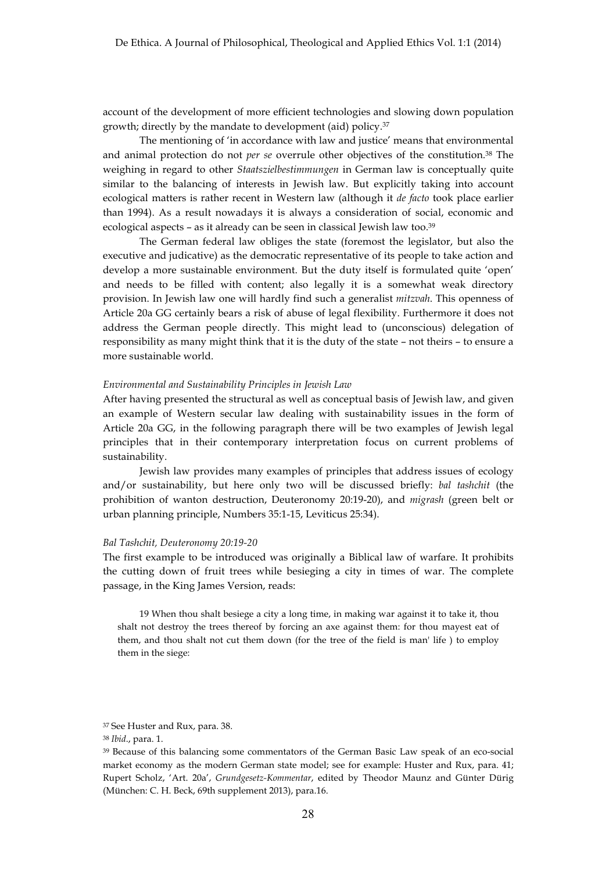account of the development of more efficient technologies and slowing down population growth; directly by the mandate to development (aid) policy.37

The mentioning of 'in accordance with law and justice' means that environmental and animal protection do not *per se* overrule other objectives of the constitution.38 The weighing in regard to other *Staatszielbestimmungen* in German law is conceptually quite similar to the balancing of interests in Jewish law. But explicitly taking into account ecological matters is rather recent in Western law (although it *de facto* took place earlier than 1994). As a result nowadays it is always a consideration of social, economic and ecological aspects – as it already can be seen in classical Jewish law too.39

The German federal law obliges the state (foremost the legislator, but also the executive and judicative) as the democratic representative of its people to take action and develop a more sustainable environment. But the duty itself is formulated quite 'open' and needs to be filled with content; also legally it is a somewhat weak directory provision. In Jewish law one will hardly find such a generalist *mitzvah*. This openness of Article 20a GG certainly bears a risk of abuse of legal flexibility. Furthermore it does not address the German people directly. This might lead to (unconscious) delegation of responsibility as many might think that it is the duty of the state – not theirs – to ensure a more sustainable world.

#### *Environmental and Sustainability Principles in Jewish Law*

After having presented the structural as well as conceptual basis of Jewish law, and given an example of Western secular law dealing with sustainability issues in the form of Article 20a GG, in the following paragraph there will be two examples of Jewish legal principles that in their contemporary interpretation focus on current problems of sustainability.

Jewish law provides many examples of principles that address issues of ecology and/or sustainability, but here only two will be discussed briefly: *bal tashchit* (the prohibition of wanton destruction, Deuteronomy 20:19-20), and *migrash* (green belt or urban planning principle, Numbers 35:1-15, Leviticus 25:34).

#### *Bal Tashchit, Deuteronomy 20:19-20*

The first example to be introduced was originally a Biblical law of warfare. It prohibits the cutting down of fruit trees while besieging a city in times of war. The complete passage, in the King James Version, reads:

19 When thou shalt besiege a city a long time, in making war against it to take it, thou shalt not destroy the trees thereof by forcing an axe against them: for thou mayest eat of them, and thou shalt not cut them down (for the tree of the field is man' life ) to employ them in the siege:

<sup>37</sup> See Huster and Rux, para. 38.

<sup>38</sup> *Ibid*., para. 1.

<sup>39</sup> Because of this balancing some commentators of the German Basic Law speak of an eco-social market economy as the modern German state model; see for example: Huster and Rux, para. 41; Rupert Scholz, 'Art. 20a', *Grundgesetz-Kommentar*, edited by Theodor Maunz and Günter Dürig (München: C. H. Beck, 69th supplement 2013), para.16.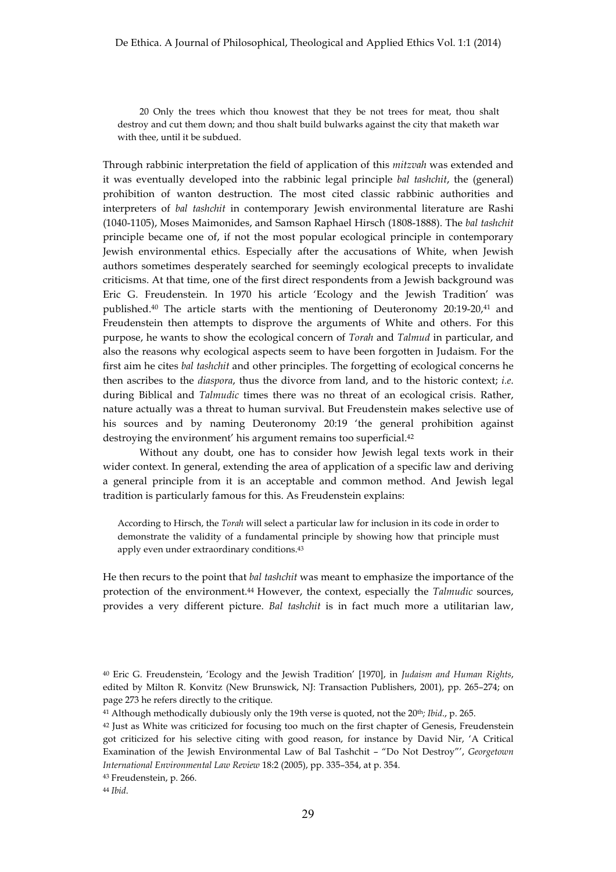20 Only the trees which thou knowest that they be not trees for meat, thou shalt destroy and cut them down; and thou shalt build bulwarks against the city that maketh war with thee, until it be subdued.

Through rabbinic interpretation the field of application of this *mitzvah* was extended and it was eventually developed into the rabbinic legal principle *bal tashchit*, the (general) prohibition of wanton destruction. The most cited classic rabbinic authorities and interpreters of *bal tashchit* in contemporary Jewish environmental literature are Rashi (1040-1105), Moses Maimonides, and Samson Raphael Hirsch (1808-1888). The *bal tashchit* principle became one of, if not the most popular ecological principle in contemporary Jewish environmental ethics. Especially after the accusations of White, when Jewish authors sometimes desperately searched for seemingly ecological precepts to invalidate criticisms. At that time, one of the first direct respondents from a Jewish background was Eric G. Freudenstein. In 1970 his article 'Ecology and the Jewish Tradition' was published.40 The article starts with the mentioning of Deuteronomy 20:19-20,41 and Freudenstein then attempts to disprove the arguments of White and others. For this purpose, he wants to show the ecological concern of *Torah* and *Talmud* in particular, and also the reasons why ecological aspects seem to have been forgotten in Judaism. For the first aim he cites *bal tashchit* and other principles. The forgetting of ecological concerns he then ascribes to the *diaspora*, thus the divorce from land, and to the historic context; *i.e*. during Biblical and *Talmudic* times there was no threat of an ecological crisis. Rather, nature actually was a threat to human survival. But Freudenstein makes selective use of his sources and by naming Deuteronomy 20:19 'the general prohibition against destroying the environment' his argument remains too superficial.<sup>42</sup>

Without any doubt, one has to consider how Jewish legal texts work in their wider context. In general, extending the area of application of a specific law and deriving a general principle from it is an acceptable and common method. And Jewish legal tradition is particularly famous for this. As Freudenstein explains:

According to Hirsch, the *Torah* will select a particular law for inclusion in its code in order to demonstrate the validity of a fundamental principle by showing how that principle must apply even under extraordinary conditions.43

He then recurs to the point that *bal tashchit* was meant to emphasize the importance of the protection of the environment.44 However, the context, especially the *Talmudic* sources, provides a very different picture. *Bal tashchit* is in fact much more a utilitarian law,

<sup>44</sup> *Ibid*.

<sup>40</sup> Eric G. Freudenstein, 'Ecology and the Jewish Tradition' [1970], in *Judaism and Human Rights*, edited by Milton R. Konvitz (New Brunswick, NJ: Transaction Publishers, 2001), pp. 265–274; on page 273 he refers directly to the critique.

<sup>41</sup> Although methodically dubiously only the 19th verse is quoted, not the 20th*; Ibid*., p. 265.

<sup>42</sup> Just as White was criticized for focusing too much on the first chapter of Genesis, Freudenstein got criticized for his selective citing with good reason, for instance by David Nir, 'A Critical Examination of the Jewish Environmental Law of Bal Tashchit – "Do Not Destroy"', *Georgetown International Environmental Law Review* 18:2 (2005), pp. 335–354, at p. 354.

<sup>43</sup> Freudenstein, p. 266.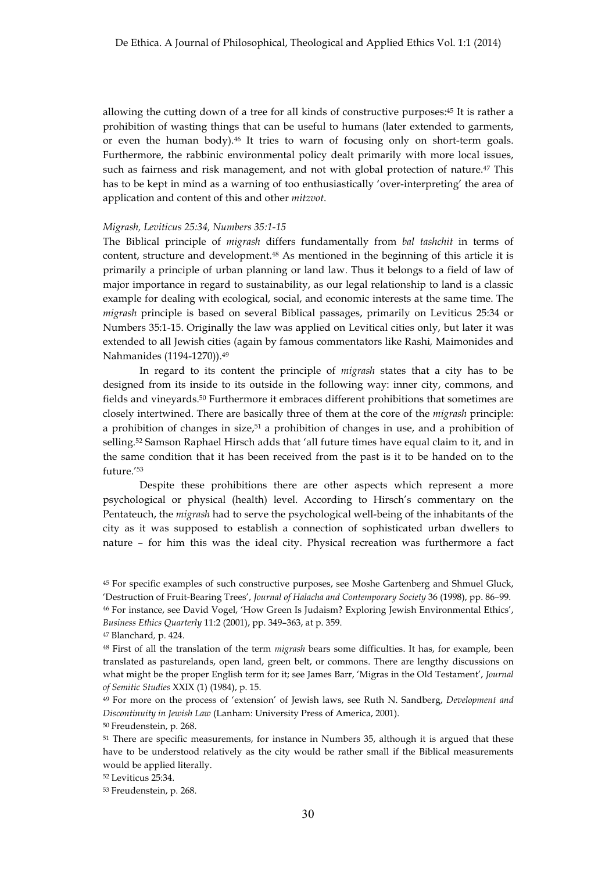allowing the cutting down of a tree for all kinds of constructive purposes:45 It is rather a prohibition of wasting things that can be useful to humans (later extended to garments, or even the human body).46 It tries to warn of focusing only on short-term goals. Furthermore, the rabbinic environmental policy dealt primarily with more local issues, such as fairness and risk management, and not with global protection of nature.<sup>47</sup> This has to be kept in mind as a warning of too enthusiastically 'over-interpreting' the area of application and content of this and other *mitzvot*.

## *Migrash, Leviticus 25:34, Numbers 35:1-15*

The Biblical principle of *migrash* differs fundamentally from *bal tashchit* in terms of content, structure and development.48 As mentioned in the beginning of this article it is primarily a principle of urban planning or land law. Thus it belongs to a field of law of major importance in regard to sustainability, as our legal relationship to land is a classic example for dealing with ecological, social, and economic interests at the same time. The *migrash* principle is based on several Biblical passages, primarily on Leviticus 25:34 or Numbers 35:1-15. Originally the law was applied on Levitical cities only, but later it was extended to all Jewish cities (again by famous commentators like Rashi*,* Maimonides and Nahmanides (1194-1270)).49

In regard to its content the principle of *migrash* states that a city has to be designed from its inside to its outside in the following way: inner city, commons, and fields and vineyards.50 Furthermore it embraces different prohibitions that sometimes are closely intertwined. There are basically three of them at the core of the *migrash* principle: a prohibition of changes in size,<sup>51</sup> a prohibition of changes in use, and a prohibition of selling.52 Samson Raphael Hirsch adds that 'all future times have equal claim to it, and in the same condition that it has been received from the past is it to be handed on to the future.'53

Despite these prohibitions there are other aspects which represent a more psychological or physical (health) level. According to Hirsch's commentary on the Pentateuch, the *migrash* had to serve the psychological well-being of the inhabitants of the city as it was supposed to establish a connection of sophisticated urban dwellers to nature – for him this was the ideal city. Physical recreation was furthermore a fact

<sup>50</sup> Freudenstein, p. 268.

<sup>45</sup> For specific examples of such constructive purposes, see Moshe Gartenberg and Shmuel Gluck, 'Destruction of Fruit-Bearing Trees', *Journal of Halacha and Contemporary Society* 36 (1998), pp. 86–99. <sup>46</sup> For instance, see David Vogel, 'How Green Is Judaism? Exploring Jewish Environmental Ethics', *Business Ethics Quarterly* 11:2 (2001), pp. 349–363, at p. 359.

<sup>47</sup> Blanchard*,* p. 424.

<sup>48</sup> First of all the translation of the term *migrash* bears some difficulties. It has, for example, been translated as pasturelands, open land, green belt, or commons. There are lengthy discussions on what might be the proper English term for it; see James Barr, 'Migras in the Old Testament', *Journal of Semitic Studies* XXIX (1) (1984), p. 15.

<sup>49</sup> For more on the process of 'extension' of Jewish laws, see Ruth N. Sandberg, *Development and Discontinuity in Jewish Law* (Lanham: University Press of America, 2001).

<sup>&</sup>lt;sup>51</sup> There are specific measurements, for instance in Numbers 35, although it is argued that these have to be understood relatively as the city would be rather small if the Biblical measurements would be applied literally.

<sup>52</sup> Leviticus 25:34.

<sup>53</sup> Freudenstein, p. 268.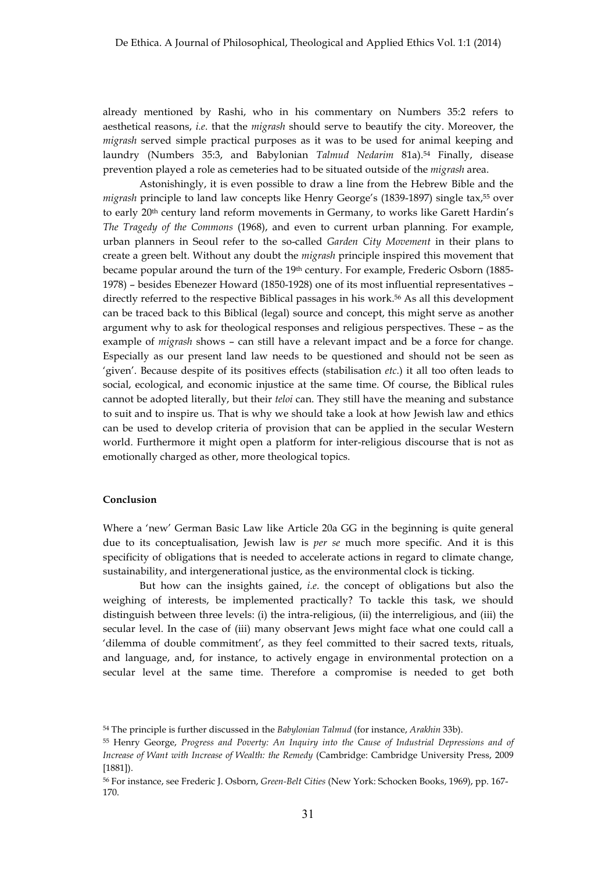already mentioned by Rashi, who in his commentary on Numbers 35:2 refers to aesthetical reasons, *i.e*. that the *migrash* should serve to beautify the city. Moreover, the *migrash* served simple practical purposes as it was to be used for animal keeping and laundry (Numbers 35:3, and Babylonian *Talmud Nedarim* 81a).54 Finally, disease prevention played a role as cemeteries had to be situated outside of the *migrash* area.

Astonishingly, it is even possible to draw a line from the Hebrew Bible and the *migrash* principle to land law concepts like Henry George's (1839-1897) single tax,55 over to early 20<sup>th</sup> century land reform movements in Germany, to works like Garett Hardin's *The Tragedy of the Commons* (1968), and even to current urban planning. For example, urban planners in Seoul refer to the so-called *Garden City Movement* in their plans to create a green belt. Without any doubt the *migrash* principle inspired this movement that became popular around the turn of the 19th century. For example, Frederic Osborn (1885- 1978) – besides Ebenezer Howard (1850-1928) one of its most influential representatives – directly referred to the respective Biblical passages in his work.56 As all this development can be traced back to this Biblical (legal) source and concept, this might serve as another argument why to ask for theological responses and religious perspectives. These – as the example of *migrash* shows – can still have a relevant impact and be a force for change. Especially as our present land law needs to be questioned and should not be seen as 'given'. Because despite of its positives effects (stabilisation *etc*.) it all too often leads to social, ecological, and economic injustice at the same time. Of course, the Biblical rules cannot be adopted literally, but their *teloi* can. They still have the meaning and substance to suit and to inspire us. That is why we should take a look at how Jewish law and ethics can be used to develop criteria of provision that can be applied in the secular Western world. Furthermore it might open a platform for inter-religious discourse that is not as emotionally charged as other, more theological topics.

## **Conclusion**

Where a 'new' German Basic Law like Article 20a GG in the beginning is quite general due to its conceptualisation, Jewish law is *per se* much more specific. And it is this specificity of obligations that is needed to accelerate actions in regard to climate change, sustainability, and intergenerational justice, as the environmental clock is ticking.

But how can the insights gained, *i.e*. the concept of obligations but also the weighing of interests, be implemented practically? To tackle this task, we should distinguish between three levels: (i) the intra-religious, (ii) the interreligious, and (iii) the secular level. In the case of (iii) many observant Jews might face what one could call a 'dilemma of double commitment', as they feel committed to their sacred texts, rituals, and language, and, for instance, to actively engage in environmental protection on a secular level at the same time. Therefore a compromise is needed to get both

<sup>54</sup> The principle is further discussed in the *Babylonian Talmud* (for instance, *Arakhin* 33b).

<sup>55</sup> Henry George, *Progress and Poverty: An Inquiry into the Cause of Industrial Depressions and of Increase of Want with Increase of Wealth: the Remedy* (Cambridge: Cambridge University Press, 2009 [1881]).

<sup>56</sup> For instance, see Frederic J. Osborn, *Green-Belt Cities* (New York: Schocken Books, 1969), pp. 167- 170.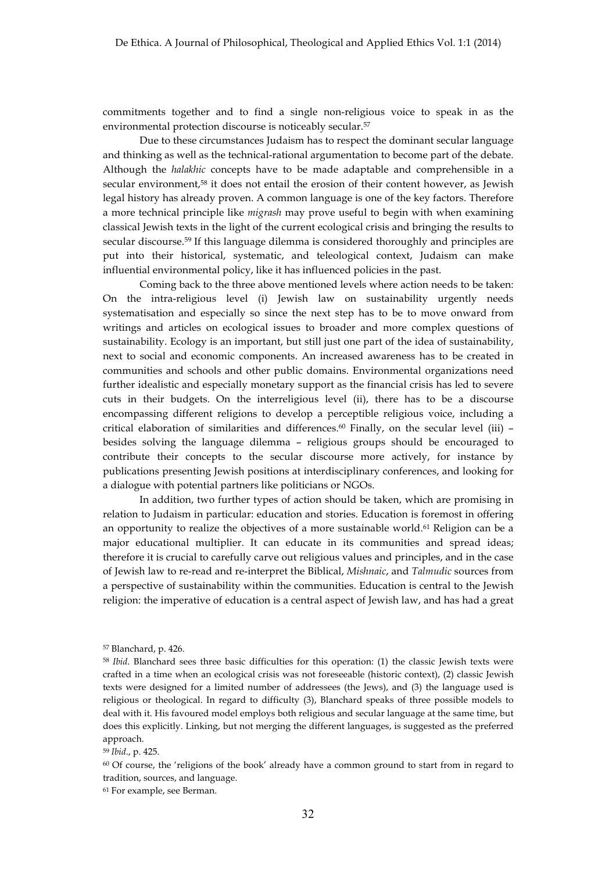commitments together and to find a single non-religious voice to speak in as the environmental protection discourse is noticeably secular.57

Due to these circumstances Judaism has to respect the dominant secular language and thinking as well as the technical-rational argumentation to become part of the debate. Although the *halakhic* concepts have to be made adaptable and comprehensible in a secular environment,<sup>58</sup> it does not entail the erosion of their content however, as Jewish legal history has already proven. A common language is one of the key factors. Therefore a more technical principle like *migrash* may prove useful to begin with when examining classical Jewish texts in the light of the current ecological crisis and bringing the results to secular discourse.59 If this language dilemma is considered thoroughly and principles are put into their historical, systematic, and teleological context, Judaism can make influential environmental policy, like it has influenced policies in the past.

Coming back to the three above mentioned levels where action needs to be taken: On the intra-religious level (i) Jewish law on sustainability urgently needs systematisation and especially so since the next step has to be to move onward from writings and articles on ecological issues to broader and more complex questions of sustainability. Ecology is an important, but still just one part of the idea of sustainability, next to social and economic components. An increased awareness has to be created in communities and schools and other public domains. Environmental organizations need further idealistic and especially monetary support as the financial crisis has led to severe cuts in their budgets. On the interreligious level (ii), there has to be a discourse encompassing different religions to develop a perceptible religious voice, including a critical elaboration of similarities and differences.60 Finally, on the secular level (iii) – besides solving the language dilemma – religious groups should be encouraged to contribute their concepts to the secular discourse more actively, for instance by publications presenting Jewish positions at interdisciplinary conferences, and looking for a dialogue with potential partners like politicians or NGOs.

In addition, two further types of action should be taken, which are promising in relation to Judaism in particular: education and stories. Education is foremost in offering an opportunity to realize the objectives of a more sustainable world.61 Religion can be a major educational multiplier. It can educate in its communities and spread ideas; therefore it is crucial to carefully carve out religious values and principles, and in the case of Jewish law to re-read and re-interpret the Biblical, *Mishnaic*, and *Talmudic* sources from a perspective of sustainability within the communities. Education is central to the Jewish religion: the imperative of education is a central aspect of Jewish law, and has had a great

<sup>59</sup> *Ibid*., p. 425.

<sup>61</sup> For example, see Berman.

<sup>57</sup> Blanchard, p. 426.

<sup>58</sup> *Ibid*. Blanchard sees three basic difficulties for this operation: (1) the classic Jewish texts were crafted in a time when an ecological crisis was not foreseeable (historic context), (2) classic Jewish texts were designed for a limited number of addressees (the Jews), and (3) the language used is religious or theological. In regard to difficulty (3), Blanchard speaks of three possible models to deal with it. His favoured model employs both religious and secular language at the same time, but does this explicitly. Linking, but not merging the different languages, is suggested as the preferred approach.

<sup>60</sup> Of course, the 'religions of the book' already have a common ground to start from in regard to tradition, sources, and language.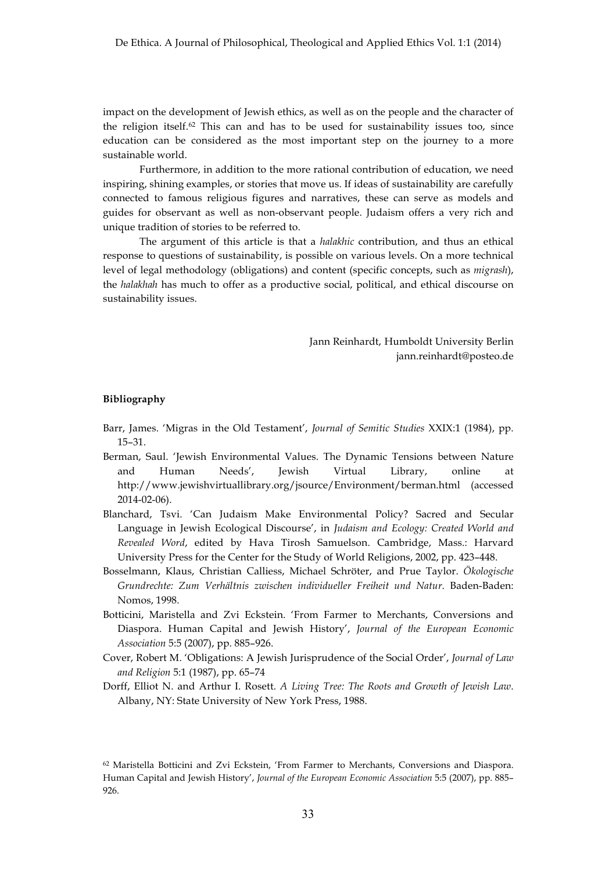impact on the development of Jewish ethics, as well as on the people and the character of the religion itself.62 This can and has to be used for sustainability issues too, since education can be considered as the most important step on the journey to a more sustainable world.

Furthermore, in addition to the more rational contribution of education, we need inspiring, shining examples, or stories that move us. If ideas of sustainability are carefully connected to famous religious figures and narratives, these can serve as models and guides for observant as well as non-observant people. Judaism offers a very rich and unique tradition of stories to be referred to.

The argument of this article is that a *halakhic* contribution, and thus an ethical response to questions of sustainability, is possible on various levels. On a more technical level of legal methodology (obligations) and content (specific concepts, such as *migrash*), the *halakhah* has much to offer as a productive social, political, and ethical discourse on sustainability issues.

> Jann Reinhardt, Humboldt University Berlin jann.reinhardt@posteo.de

## **Bibliography**

- Barr, James. 'Migras in the Old Testament', *Journal of Semitic Studies* XXIX:1 (1984), pp. 15–31.
- Berman, Saul. 'Jewish Environmental Values. The Dynamic Tensions between Nature and Human Needs', Jewish Virtual Library, online at http://www.jewishvirtuallibrary.org/jsource/Environment/berman.html (accessed 2014-02-06).
- Blanchard, Tsvi. 'Can Judaism Make Environmental Policy? Sacred and Secular Language in Jewish Ecological Discourse', in *Judaism and Ecology: Created World and Revealed Word*, edited by Hava Tirosh Samuelson. Cambridge, Mass.: Harvard University Press for the Center for the Study of World Religions, 2002, pp. 423–448.
- Bosselmann, Klaus, Christian Calliess, Michael Schröter, and Prue Taylor. *Ökologische Grundrechte: Zum Verhältnis zwischen individueller Freiheit und Natur*. Baden-Baden: Nomos, 1998.
- Botticini, Maristella and Zvi Eckstein. 'From Farmer to Merchants, Conversions and Diaspora. Human Capital and Jewish History', *Journal of the European Economic Association* 5:5 (2007), pp. 885–926.
- Cover, Robert M. 'Obligations: A Jewish Jurisprudence of the Social Order', *Journal of Law and Religion* 5:1 (1987), pp. 65–74
- Dorff, Elliot N. and Arthur I. Rosett. *A Living Tree: The Roots and Growth of Jewish Law*. Albany, NY: State University of New York Press, 1988.

<sup>62</sup> Maristella Botticini and Zvi Eckstein, 'From Farmer to Merchants, Conversions and Diaspora. Human Capital and Jewish History', *Journal of the European Economic Association* 5:5 (2007), pp. 885– 926.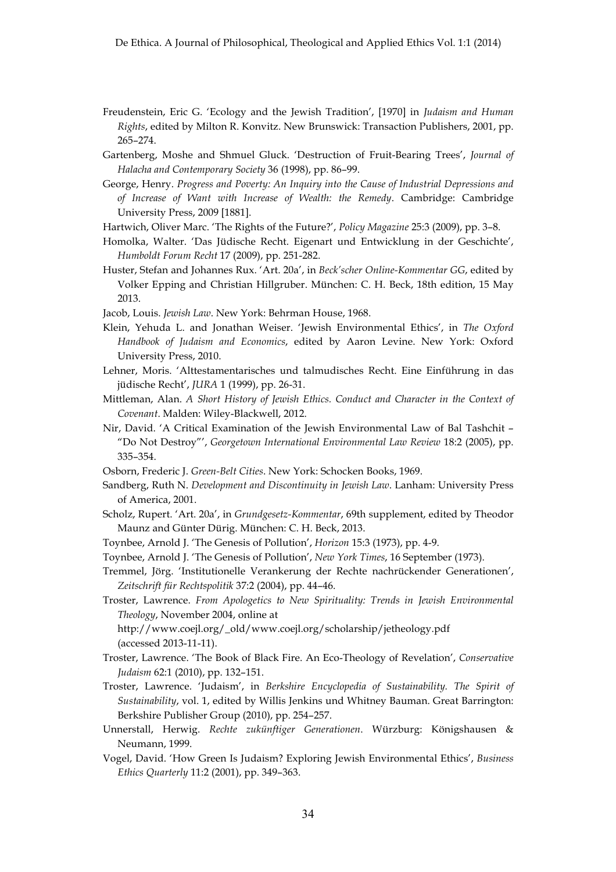- Freudenstein, Eric G. 'Ecology and the Jewish Tradition', [1970] in *Judaism and Human Rights*, edited by Milton R. Konvitz. New Brunswick: Transaction Publishers, 2001, pp. 265–274.
- Gartenberg, Moshe and Shmuel Gluck. 'Destruction of Fruit-Bearing Trees', *Journal of Halacha and Contemporary Society* 36 (1998), pp. 86–99.
- George, Henry. *Progress and Poverty: An Inquiry into the Cause of Industrial Depressions and of Increase of Want with Increase of Wealth: the Remedy*. Cambridge: Cambridge University Press, 2009 [1881].

Hartwich, Oliver Marc. 'The Rights of the Future?', *Policy Magazine* 25:3 (2009), pp. 3–8.

- Homolka, Walter. 'Das Jüdische Recht. Eigenart und Entwicklung in der Geschichte', *Humboldt Forum Recht* 17 (2009), pp. 251-282.
- Huster, Stefan and Johannes Rux. 'Art. 20a', in *Beck'scher Online-Kommentar GG*, edited by Volker Epping and Christian Hillgruber. München: C. H. Beck, 18th edition, 15 May 2013.

Jacob, Louis. *Jewish Law*. New York: Behrman House, 1968.

- Klein, Yehuda L. and Jonathan Weiser. 'Jewish Environmental Ethics', in *The Oxford Handbook of Judaism and Economics*, edited by Aaron Levine. New York: Oxford University Press, 2010.
- Lehner, Moris. 'Alttestamentarisches und talmudisches Recht. Eine Einführung in das jüdische Recht', *JURA* 1 (1999), pp. 26-31.
- Mittleman, Alan. *A Short History of Jewish Ethics. Conduct and Character in the Context of Covenant*. Malden: Wiley-Blackwell, 2012.
- Nir, David. 'A Critical Examination of the Jewish Environmental Law of Bal Tashchit "Do Not Destroy"', *Georgetown International Environmental Law Review* 18:2 (2005), pp. 335–354.
- Osborn, Frederic J. *Green-Belt Cities*. New York: Schocken Books, 1969.
- Sandberg, Ruth N. *Development and Discontinuity in Jewish Law*. Lanham: University Press of America, 2001.
- Scholz, Rupert. 'Art. 20a', in *Grundgesetz-Kommentar*, 69th supplement, edited by Theodor Maunz and Günter Dürig. München: C. H. Beck, 2013.
- Toynbee, Arnold J. 'The Genesis of Pollution', *Horizon* 15:3 (1973), pp. 4-9.
- Toynbee, Arnold J. 'The Genesis of Pollution', *New York Times*, 16 September (1973).
- Tremmel, Jörg. 'Institutionelle Verankerung der Rechte nachrückender Generationen', *Zeitschrift für Rechtspolitik* 37:2 (2004), pp. 44–46.
- Troster, Lawrence. *From Apologetics to New Spirituality: Trends in Jewish Environmental Theology*, November 2004, online at

http://www.coejl.org/\_old/www.coejl.org/scholarship/jetheology.pdf (accessed 2013-11-11).

- Troster, Lawrence. 'The Book of Black Fire. An Eco-Theology of Revelation', *Conservative Judaism* 62:1 (2010), pp. 132–151.
- Troster, Lawrence. 'Judaism', in *Berkshire Encyclopedia of Sustainability. The Spirit of Sustainability*, vol. 1, edited by Willis Jenkins und Whitney Bauman. Great Barrington: Berkshire Publisher Group (2010), pp. 254–257.
- Unnerstall, Herwig. *Rechte zukünftiger Generationen*. Würzburg: Königshausen & Neumann, 1999.
- Vogel, David. 'How Green Is Judaism? Exploring Jewish Environmental Ethics', *Business Ethics Quarterly* 11:2 (2001), pp. 349–363.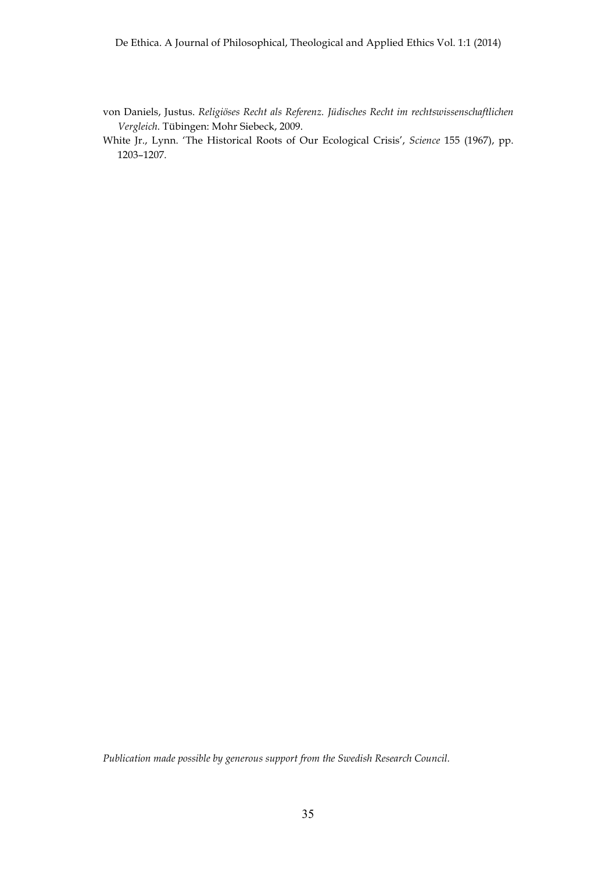- von Daniels, Justus. *Religiöses Recht als Referenz. Jüdisches Recht im rechtswissenschaftlichen Vergleich*. Tübingen: Mohr Siebeck, 2009.
- White Jr., Lynn. 'The Historical Roots of Our Ecological Crisis', *Science* 155 (1967), pp. 1203–1207.

*Publication made possible by generous support from the Swedish Research Council.*